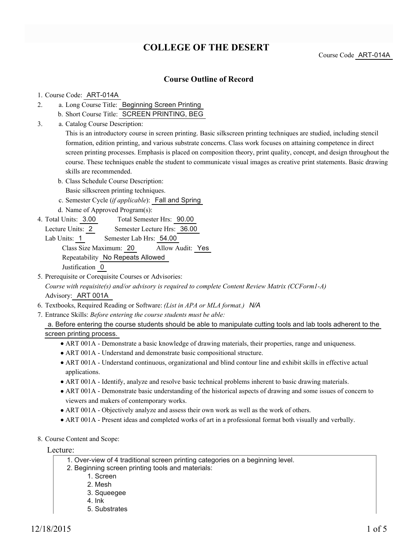# **COLLEGE OF THE DESERT**

Course Code ART-014A

## **Course Outline of Record**

#### 1. Course Code: ART-014A

- a. Long Course Title: Beginning Screen Printing 2.
	- b. Short Course Title: SCREEN PRINTING, BEG
- Catalog Course Description: a. 3.

This is an introductory course in screen printing. Basic silkscreen printing techniques are studied, including stencil formation, edition printing, and various substrate concerns. Class work focuses on attaining competence in direct screen printing processes. Emphasis is placed on composition theory, print quality, concept, and design throughout the course. These techniques enable the student to communicate visual images as creative print statements. Basic drawing skills are recommended.

b. Class Schedule Course Description: Basic silkscreen printing techniques.

c. Semester Cycle (*if applicable*): Fall and Spring

- d. Name of Approved Program(s):
- Total Semester Hrs: 90.00 4. Total Units: 3.00
	- Lecture Units: 2 Semester Lecture Hrs: 36.00

Lab Units: 1 Semester Lab Hrs: 54.00 Class Size Maximum: 20 Allow Audit: Yes Repeatability No Repeats Allowed Justification 0

- 5. Prerequisite or Corequisite Courses or Advisories: *Course with requisite(s) and/or advisory is required to complete Content Review Matrix (CCForm1-A)* Advisory: ART 001A
- 6. Textbooks, Required Reading or Software: *(List in APA or MLA format.) N/A*
- Entrance Skills: *Before entering the course students must be able:* 7.

a. Before entering the course students should be able to manipulate cutting tools and lab tools adherent to the screen printing process.

- ART 001A Demonstrate a basic knowledge of drawing materials, their properties, range and uniqueness.
- ART 001A Understand and demonstrate basic compositional structure.
- ART 001A Understand continuous, organizational and blind contour line and exhibit skills in effective actual applications.
- ART 001A Identify, analyze and resolve basic technical problems inherent to basic drawing materials.
- ART 001A Demonstrate basic understanding of the historical aspects of drawing and some issues of concern to viewers and makers of contemporary works.
- ART 001A Objectively analyze and assess their own work as well as the work of others.
- ART 001A Present ideas and completed works of art in a professional format both visually and verbally.
- 8. Course Content and Scope:

Lecture:

- 1. Over-view of 4 traditional screen printing categories on a beginning level.
- 2. Beginning screen printing tools and materials:
	- 1. Screen
	- 2. Mesh
	- 3. Squeegee
	- 4. Ink
	- 5. Substrates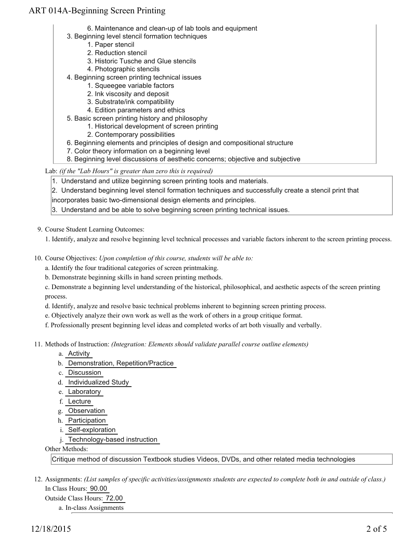- 6. Maintenance and clean-up of lab tools and equipment
- 3. Beginning level stencil formation techniques
	- 1. Paper stencil
	- 2. Reduction stencil
	- 3. Historic Tusche and Glue stencils
	- 4. Photographic stencils
- 4. Beginning screen printing technical issues
	- 1. Squeegee variable factors
	- 2. Ink viscosity and deposit
	- 3. Substrate/ink compatibility
	- 4. Edition parameters and ethics
- 5. Basic screen printing history and philosophy
	- 1. Historical development of screen printing
	- 2. Contemporary possibilities
- 6. Beginning elements and principles of design and compositional structure
- 7. Color theory information on a beginning level
- 8. Beginning level discussions of aesthetic concerns; objective and subjective

Lab: *(if the "Lab Hours" is greater than zero this is required)*

1. Understand and utilize beginning screen printing tools and materials.

2. Understand beginning level stencil formation techniques and successfully create a stencil print that

incorporates basic two-dimensional design elements and principles.

3. Understand and be able to solve beginning screen printing technical issues.

9. Course Student Learning Outcomes:

1. Identify, analyze and resolve beginning level technical processes and variable factors inherent to the screen printing process.

10. Course Objectives: Upon completion of this course, students will be able to:

a. Identify the four traditional categories of screen printmaking.

b. Demonstrate beginning skills in hand screen printing methods.

c. Demonstrate a beginning level understanding of the historical, philosophical, and aesthetic aspects of the screen printing process.

d. Identify, analyze and resolve basic technical problems inherent to beginning screen printing process.

e. Objectively analyze their own work as well as the work of others in a group critique format.

f. Professionally present beginning level ideas and completed works of art both visually and verbally.

- 11. Methods of Instruction: *(Integration: Elements should validate parallel course outline elements)* 
	- a. Activity
	- b. Demonstration, Repetition/Practice
	- c. Discussion
	- d. Individualized Study
	- e. Laboratory
	- f. Lecture
	- g. Observation
	- h. Participation
	- i. Self-exploration
	- j. Technology-based instruction

#### Other Methods:

Critique method of discussion Textbook studies Videos, DVDs, and other related media technologies

12. Assignments: (List samples of specific activities/assignments students are expected to complete both in and outside of class.) In Class Hours: 90.00

Outside Class Hours: 72.00

a. In-class Assignments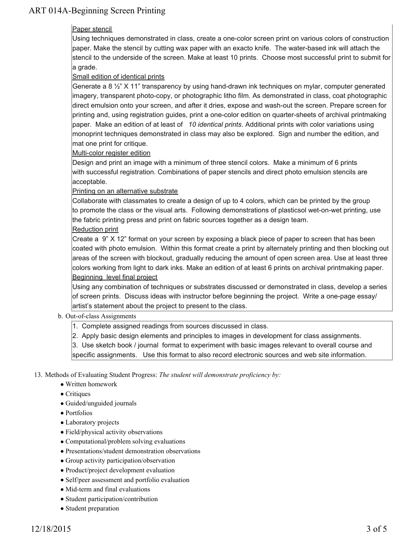## Paper stencil

Using techniques demonstrated in class, create a one-color screen print on various colors of construction paper. Make the stencil by cutting wax paper with an exacto knife. The water-based ink will attach the stencil to the underside of the screen. Make at least 10 prints. Choose most successful print to submit for a grade.

### Small edition of identical prints

Generate a 8 ½" X 11" transparency by using hand-drawn ink techniques on mylar, computer generated imagery, transparent photo-copy, or photographic litho film. As demonstrated in class, coat photographic direct emulsion onto your screen, and after it dries, expose and wash-out the screen. Prepare screen for printing and, using registration guides, print a one-color edition on quarter-sheets of archival printmaking paper. Make an edition of at least of *10 identical prints*. Additional prints with color variations using monoprint techniques demonstrated in class may also be explored. Sign and number the edition, and mat one print for critique.

#### Multi-color register edition

Design and print an image with a minimum of three stencil colors. Make a minimum of 6 prints with successful registration. Combinations of paper stencils and direct photo emulsion stencils are acceptable.

#### Printing on an alternative substrate

Collaborate with classmates to create a design of up to 4 colors, which can be printed by the group to promote the class or the visual arts. Following demonstrations of plasticsol wet-on-wet printing, use the fabric printing press and print on fabric sources together as a design team.

#### Reduction print

Create a 9" X 12" format on your screen by exposing a black piece of paper to screen that has been coated with photo emulsion. Within this format create a print by alternately printing and then blocking out areas of the screen with blockout, gradually reducing the amount of open screen area. Use at least three colors working from light to dark inks. Make an edition of at least 6 prints on archival printmaking paper. Beginning level final project

Using any combination of techniques or substrates discussed or demonstrated in class, develop a series of screen prints. Discuss ideas with instructor before beginning the project. Write a one-page essay/ artist's statement about the project to present to the class.

#### b. Out-of-class Assignments

- 1. Complete assigned readings from sources discussed in class.
- 2. Apply basic design elements and principles to images in development for class assignments.

3. Use sketch book / journal format to experiment with basic images relevant to overall course and specific assignments. Use this format to also record electronic sources and web site information.

#### 13. Methods of Evaluating Student Progress: The student will demonstrate proficiency by:

- Written homework
- Critiques
- Guided/unguided journals
- Portfolios
- Laboratory projects
- Field/physical activity observations
- Computational/problem solving evaluations
- Presentations/student demonstration observations
- Group activity participation/observation
- Product/project development evaluation
- Self/peer assessment and portfolio evaluation
- Mid-term and final evaluations
- Student participation/contribution
- Student preparation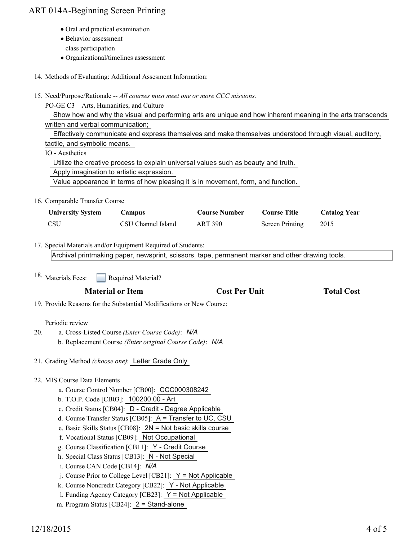- Oral and practical examination
- Behavior assessment
	- class participation
- Organizational/timelines assessment
- 14. Methods of Evaluating: Additional Assesment Information:
- 15. Need/Purpose/Rationale -- All courses must meet one or more CCC missions.

PO-GE C3 – Arts, Humanities, and Culture

 Show how and why the visual and performing arts are unique and how inherent meaning in the arts transcends written and verbal communication;

Effectively communicate and express themselves and make themselves understood through visual, auditory,

tactile, and symbolic means.

IO - Aesthetics

Utilize the creative process to explain universal values such as beauty and truth.

Apply imagination to artistic expression.

Value appearance in terms of how pleasing it is in movement, form, and function.

16. Comparable Transfer Course

| <b>University System</b> | Campus             | <b>Course Number</b> | <b>Course Title</b> | <b>Catalog Year</b> |
|--------------------------|--------------------|----------------------|---------------------|---------------------|
| - CSU                    | CSU Channel Island | ART 390              | Screen Printing     | 2015                |

17. Special Materials and/or Equipment Required of Students:

Archival printmaking paper, newsprint, scissors, tape, permanent marker and other drawing tools.

Required Material? 18. Materials Fees:

## **Material or Item Cost Per Unit Total Cost**

19. Provide Reasons for the Substantial Modifications or New Course:

## Periodic review

- a. Cross-Listed Course *(Enter Course Code)*: *N/A* b. Replacement Course *(Enter original Course Code)*: *N/A* 20.
- 21. Grading Method *(choose one)*: Letter Grade Only
- 22. MIS Course Data Elements
	- a. Course Control Number [CB00]: CCC000308242
	- b. T.O.P. Code [CB03]: 100200.00 Art
	- c. Credit Status [CB04]: D Credit Degree Applicable
	- d. Course Transfer Status [CB05]: A = Transfer to UC, CSU
	- e. Basic Skills Status [CB08]: 2N = Not basic skills course
	- f. Vocational Status [CB09]: Not Occupational
	- g. Course Classification [CB11]: Y Credit Course
	- h. Special Class Status [CB13]: N Not Special
	- i. Course CAN Code [CB14]: *N/A*
	- j. Course Prior to College Level [CB21]: Y = Not Applicable
	- k. Course Noncredit Category [CB22]: Y Not Applicable
	- l. Funding Agency Category [CB23]: Y = Not Applicable
	- m. Program Status [CB24]: 2 = Stand-alone